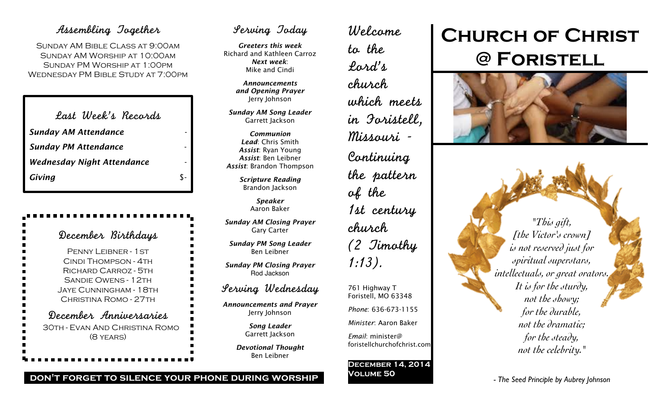## Assembling Together

Sunday AM Bible Class at 9:00am Sunday AM Worship at 10:00am Sunday PM Worship at 1:00pm Wednesday PM Bible Study at 7:00pm

| Last Week's Records               |     |
|-----------------------------------|-----|
| <b>Sunday AM Attendance</b>       |     |
| <b>Sunday PM Attendance</b>       |     |
| <b>Wednesday Night Attendance</b> |     |
| Giving                            | ፍ - |
|                                   |     |

| December Birthdays                                                                                                                                                                  |
|-------------------------------------------------------------------------------------------------------------------------------------------------------------------------------------|
| PENNY LEIBNER - 1 ST<br>CINDI THOMPSON - 4TH<br>■<br>RICHARD CARROZ - 5TH<br>■<br>■<br><b>SANDIE OWENS - 12TH</b><br>■<br>JAYE CUNNINGHAM - 18TH<br>■<br>п<br>CHRISTINA ROMO - 27TH |
| December Anniversaries<br>30th - Evan And Christina Romo<br>$(8$ YEARS)                                                                                                             |

## Serving Today

*Greeters this week* Richard and Kathleen Carroz *Next week*: Mike and Cindi

> *Announcements and Opening Prayer* Jerry Johnson

*Sunday AM Song Leader* Garrett Jackson

*Communion Lead*: Chris Smith *Assist*: Ryan Young *Assist*: Ben Leibner *Assist*: Brandon Thompson

> *Scripture Reading* Brandon Jackson

> > *Speaker* Aaron Baker

*Sunday AM Closing Prayer* Gary Carter

*Sunday PM Song Leader* Ben Leibner

*Sunday PM Closing Prayer* Rod Jackson

## Serving Wednesday

*Announcements and Prayer* Jerry Johnson

> *Song Leader* Garrett Jackson

*Devotional Thought* Ben Leibner

Welcome to the Lord's church which meets in Foristell, Missouri - Continuing the pattern of the 1st century church (2 Timothy 1:13). 761 Highway T

Foristell, MO 63348 *Phone*: 636-673-1155 *Minister*: Aaron Baker

*Email*: minister@ foristellchurchofchrist.com

### **December 14, 2014 Volume 50**

# **Church of Christ @ Foristell**



*"This gift, [the Victor's crown] is not reserved just for spiritual superstars, intellectuals, or great orators. It is for the sturdy, not the showy; for the durable, not the dramatic; for the steady, not the celebrity."*

*- The Seed Principle by Aubrey Johnson*

### **don't forget to silence your phone during worship**